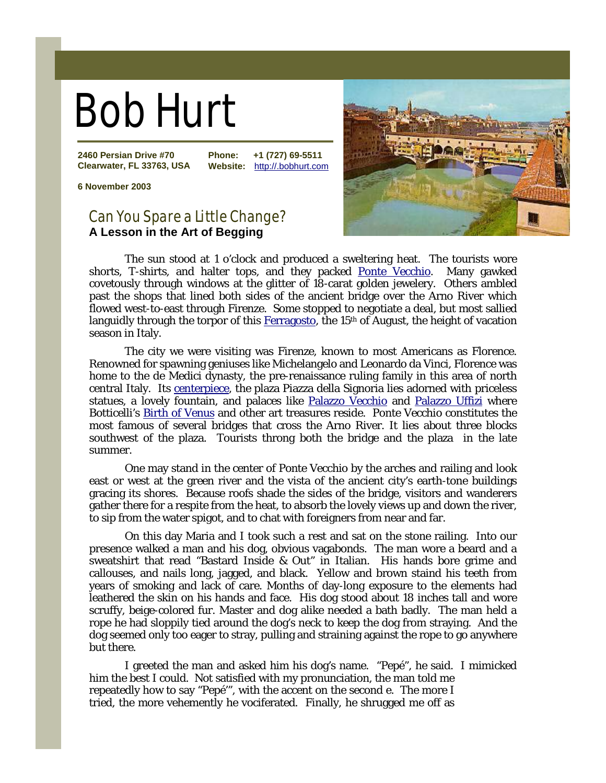## Bob Hurt

**2460 Persian Drive #70 Clearwater, FL 33763, USA** **Phone: +1 (727) 69-5511 Website:** http://.bobhurt.com

**6 November 2003**

## Can You Spare a Little Change? **A Lesson in the Art of Begging**



The sun stood at 1 o'clock and produced a sweltering heat. The tourists wore shorts, T-shirts, and halter tops, and they packed [Ponte Vecchio.](http://en.wikipedia.org/wiki/Ponte_Vecchio) Many gawked covetously through windows at the glitter of 18-carat golden jewelery. Others ambled past the shops that lined both sides of the ancient bridge over the Arno River which flowed west-to-east through Firenze. Some stopped to negotiate a deal, but most sallied languidly through the torpor of this [Ferragosto,](http://en.wikipedia.org/wiki/Ferragosto) the 15<sup>th</sup> of August, the height of vacation season in Italy.

The city we were visiting was Firenze, known to most Americans as Florence. Renowned for spawning geniuses like Michelangelo and Leonardo da Vinci, Florence was home to the de Medici dynasty, the pre-renaissance ruling family in this area of north central Italy. Its [centerpiece,](http://maps.google.com/maps/ms?f=q&hl=en&geocode=&ie=UTF8&msa=0&msid=102430988816301733755.0000011234c3251f37986&ll=43.770327,11.254849&spn=0.004695,0.010042&t=h&z=17&om=1) the plaza Piazza della Signoria lies adorned with priceless statues, a lovely fountain, and palaces like [Palazzo Vecchio](http://en.wikipedia.org/wiki/Palazzo_Vecchio) and [Palazzo Uffizi](http://www.bluffton.edu/~sullivanm/italy/florence/vasariuffizi/vasari.html) where Botticelli's **Birth of Venus** and other art treasures reside. Ponte Vecchio constitutes the most famous of several bridges that cross the Arno River. It lies about three blocks southwest of the plaza. Tourists throng both the bridge and the plaza in the late summer.

One may stand in the center of Ponte Vecchio by the arches and railing and look east or west at the green river and the vista of the ancient city's earth-tone buildings gracing its shores. Because roofs shade the sides of the bridge, visitors and wanderers gather there for a respite from the heat, to absorb the lovely views up and down the river, to sip from the water spigot, and to chat with foreigners from near and far.

On this day Maria and I took such a rest and sat on the stone railing. Into our presence walked a man and his dog, obvious vagabonds. The man wore a beard and a sweatshirt that read "Bastard Inside & Out" in Italian. His hands bore grime and callouses, and nails long, jagged, and black. Yellow and brown staind his teeth from years of smoking and lack of care. Months of day-long exposure to the elements had leathered the skin on his hands and face. His dog stood about 18 inches tall and wore scruffy, beige-colored fur. Master and dog alike needed a bath badly. The man held a rope he had sloppily tied around the dog's neck to keep the dog from straying. And the dog seemed only too eager to stray, pulling and straining against the rope to go anywhere but there.

I greeted the man and asked him his dog's name. "Pepé", he said. I mimicked him the best I could. Not satisfied with my pronunciation, the man told me repeatedly how to say "Pepé'", with the accent on the second e. The more I tried, the more vehemently he vociferated. Finally, he shrugged me off as